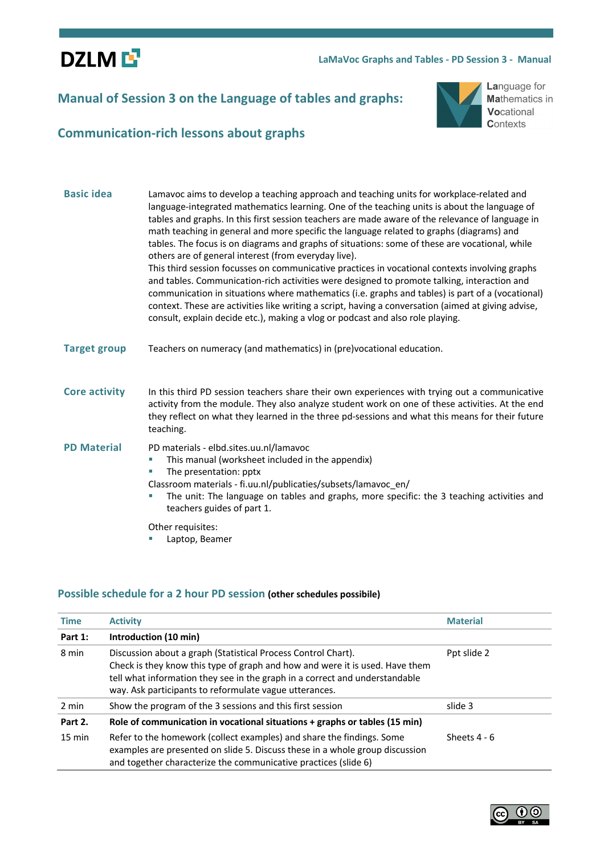**DZLME** 

#### **LaMaVoc Graphs and Tables - PD Session 3 - Manual**

# **Manual of Session 3 on the Language of tables and graphs:**



Language for Mathematics in Vocational **Contexts** 

# **Communication-rich lessons about graphs**

| <b>Basic idea</b>    | Lamavoc aims to develop a teaching approach and teaching units for workplace-related and<br>language-integrated mathematics learning. One of the teaching units is about the language of<br>tables and graphs. In this first session teachers are made aware of the relevance of language in<br>math teaching in general and more specific the language related to graphs (diagrams) and<br>tables. The focus is on diagrams and graphs of situations: some of these are vocational, while<br>others are of general interest (from everyday live).<br>This third session focusses on communicative practices in vocational contexts involving graphs<br>and tables. Communication-rich activities were designed to promote talking, interaction and<br>communication in situations where mathematics (i.e. graphs and tables) is part of a (vocational)<br>context. These are activities like writing a script, having a conversation (aimed at giving advise,<br>consult, explain decide etc.), making a vlog or podcast and also role playing. |
|----------------------|--------------------------------------------------------------------------------------------------------------------------------------------------------------------------------------------------------------------------------------------------------------------------------------------------------------------------------------------------------------------------------------------------------------------------------------------------------------------------------------------------------------------------------------------------------------------------------------------------------------------------------------------------------------------------------------------------------------------------------------------------------------------------------------------------------------------------------------------------------------------------------------------------------------------------------------------------------------------------------------------------------------------------------------------------|
| <b>Target group</b>  | Teachers on numeracy (and mathematics) in (pre)vocational education.                                                                                                                                                                                                                                                                                                                                                                                                                                                                                                                                                                                                                                                                                                                                                                                                                                                                                                                                                                             |
| <b>Core activity</b> | In this third PD session teachers share their own experiences with trying out a communicative<br>activity from the module. They also analyze student work on one of these activities. At the end<br>they reflect on what they learned in the three pd-sessions and what this means for their future<br>teaching.                                                                                                                                                                                                                                                                                                                                                                                                                                                                                                                                                                                                                                                                                                                                 |
| <b>PD Material</b>   | PD materials - elbd.sites.uu.nl/lamavoc<br>This manual (worksheet included in the appendix)<br>The presentation: pptx<br>×<br>Classroom materials - fi.uu.nl/publicaties/subsets/lamavoc en/<br>The unit: The language on tables and graphs, more specific: the 3 teaching activities and<br>teachers guides of part 1.                                                                                                                                                                                                                                                                                                                                                                                                                                                                                                                                                                                                                                                                                                                          |
|                      | Other requisites:<br>Laptop, Beamer                                                                                                                                                                                                                                                                                                                                                                                                                                                                                                                                                                                                                                                                                                                                                                                                                                                                                                                                                                                                              |

## **Possible schedule for a 2 hour PD session (other schedules possibile)**

| <b>Time</b>      | <b>Activity</b>                                                                                                                                                                                                                                                                        | <b>Material</b> |
|------------------|----------------------------------------------------------------------------------------------------------------------------------------------------------------------------------------------------------------------------------------------------------------------------------------|-----------------|
| Part 1:          | Introduction (10 min)                                                                                                                                                                                                                                                                  |                 |
| 8 min            | Discussion about a graph (Statistical Process Control Chart).<br>Check is they know this type of graph and how and were it is used. Have them<br>tell what information they see in the graph in a correct and understandable<br>way. Ask participants to reformulate vague utterances. | Ppt slide 2     |
| 2 min            | Show the program of the 3 sessions and this first session                                                                                                                                                                                                                              | slide 3         |
| Part 2.          | Role of communication in vocational situations + graphs or tables (15 min)                                                                                                                                                                                                             |                 |
| $15 \text{ min}$ | Refer to the homework (collect examples) and share the findings. Some<br>examples are presented on slide 5. Discuss these in a whole group discussion<br>and together characterize the communicative practices (slide 6)                                                               | Sheets $4 - 6$  |

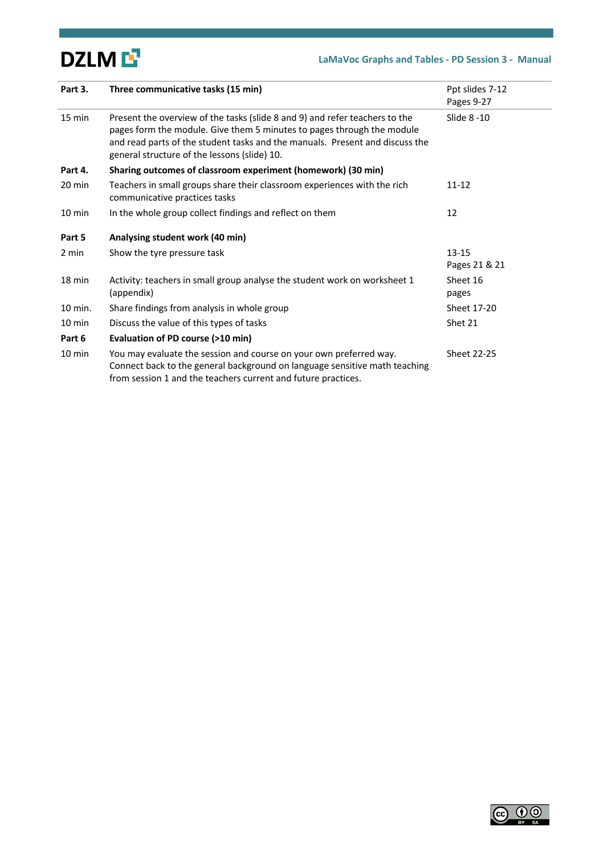# DZLM L<sup>7</sup>

# **LaMaVoc Graphs and Tables - PD Session 3 - Manual**

| Part 3.          | Three communicative tasks (15 min)                                                                                                                                                                                                                                                    | Ppt slides 7-12<br>Pages 9-27 |
|------------------|---------------------------------------------------------------------------------------------------------------------------------------------------------------------------------------------------------------------------------------------------------------------------------------|-------------------------------|
| $15 \text{ min}$ | Present the overview of the tasks (slide 8 and 9) and refer teachers to the<br>pages form the module. Give them 5 minutes to pages through the module<br>and read parts of the student tasks and the manuals. Present and discuss the<br>general structure of the lessons (slide) 10. | Slide 8 -10                   |
| Part 4.          | Sharing outcomes of classroom experiment (homework) (30 min)                                                                                                                                                                                                                          |                               |
| $20 \text{ min}$ | Teachers in small groups share their classroom experiences with the rich<br>communicative practices tasks                                                                                                                                                                             | $11 - 12$                     |
| $10 \text{ min}$ | In the whole group collect findings and reflect on them                                                                                                                                                                                                                               | 12                            |
| Part 5           | Analysing student work (40 min)                                                                                                                                                                                                                                                       |                               |
| 2 min            | Show the tyre pressure task                                                                                                                                                                                                                                                           | $13 - 15$<br>Pages 21 & 21    |
| 18 min           | Activity: teachers in small group analyse the student work on worksheet 1<br>(appendix)                                                                                                                                                                                               | Sheet 16<br>pages             |
| 10 min.          | Share findings from analysis in whole group                                                                                                                                                                                                                                           | Sheet 17-20                   |
| $10 \text{ min}$ | Discuss the value of this types of tasks                                                                                                                                                                                                                                              | Shet 21                       |
| Part 6           | Evaluation of PD course (>10 min)                                                                                                                                                                                                                                                     |                               |
| $10 \text{ min}$ | You may evaluate the session and course on your own preferred way.<br>Connect back to the general background on language sensitive math teaching<br>from session 1 and the teachers current and future practices.                                                                     | Sheet 22-25                   |